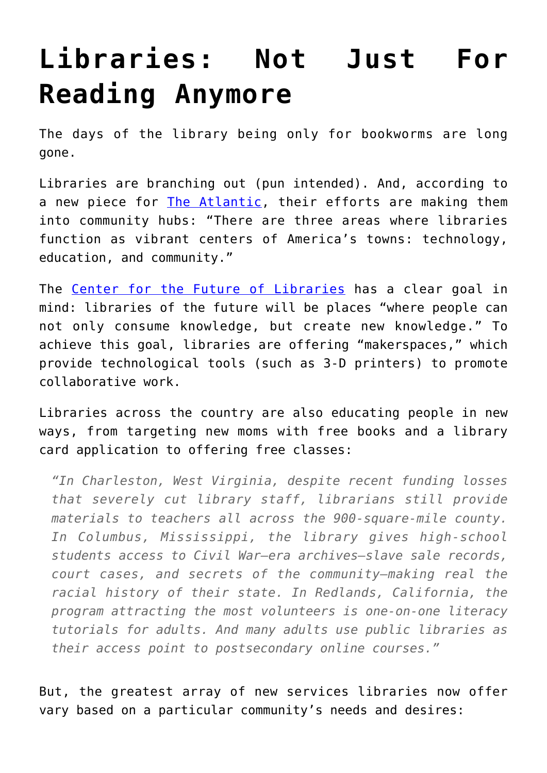## **[Libraries: Not Just For](https://intellectualtakeout.org/2016/02/libraries-not-just-for-reading-anymore/) [Reading Anymore](https://intellectualtakeout.org/2016/02/libraries-not-just-for-reading-anymore/)**

The days of the library being only for bookworms are long gone.

Libraries are branching out (pun intended). And, according to a new piece for [The Atlantic](http://www.theatlantic.com/magazine/archive/2016/03/the-library-card/426888/), their efforts are making them into community hubs: "There are three areas where libraries function as vibrant centers of America's towns: technology, education, and community."

The [Center for the Future of Libraries](http://www.ala.org/transforminglibraries/future) has a clear goal in mind: libraries of the future will be places "where people can not only consume knowledge, but create new knowledge." To achieve this goal, libraries are offering "makerspaces," which provide technological tools (such as 3-D printers) to promote collaborative work.

Libraries across the country are also educating people in new ways, from targeting new moms with free books and a library card application to offering free classes:

*"In Charleston, West Virginia, despite recent funding losses that severely cut library staff, librarians still provide materials to teachers all across the 900-square-mile county. In Columbus, Mississippi, the library gives high-school students access to Civil War–era archives—slave sale records, court cases, and secrets of the community—making real the racial history of their state. In Redlands, California, the program attracting the most volunteers is one-on-one literacy tutorials for adults. And many adults use public libraries as their access point to postsecondary online courses."*

But, the greatest array of new services libraries now offer vary based on a particular community's needs and desires: